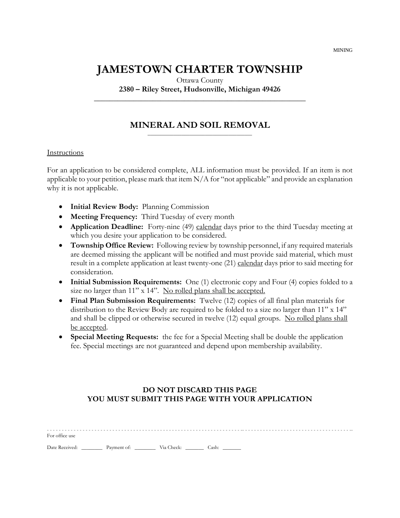# **JAMESTOWN CHARTER TOWNSHIP**

Ottawa County

**2380 – Riley Street, Hudsonville, Michigan 49426 \_\_\_\_\_\_\_\_\_\_\_\_\_\_\_\_\_\_\_\_\_\_\_\_\_\_\_\_\_\_\_\_\_\_\_\_\_\_\_\_\_\_\_\_\_\_\_\_\_\_\_\_\_\_**

#### **MINERAL AND SOIL REMOVAL** \_\_\_\_\_\_\_\_\_\_\_\_\_\_\_\_\_\_\_\_\_\_\_\_\_\_\_\_\_\_\_\_\_\_\_\_\_\_\_\_

#### Instructions

For an application to be considered complete, ALL information must be provided. If an item is not applicable to your petition, please mark that item N/A for "not applicable" and provide an explanation why it is not applicable.

- **Initial Review Body:** Planning Commission
- **Meeting Frequency:** Third Tuesday of every month
- **Application Deadline:** Forty-nine (49) calendar days prior to the third Tuesday meeting at which you desire your application to be considered.
- **Township Office Review:** Following review by township personnel, if any required materials are deemed missing the applicant will be notified and must provide said material, which must result in a complete application at least twenty-one (21) calendar days prior to said meeting for consideration.
- **Initial Submission Requirements:** One (1) electronic copy and Four (4) copies folded to a size no larger than 11" x 14". No rolled plans shall be accepted.
- **Final Plan Submission Requirements:** Twelve (12) copies of all final plan materials for distribution to the Review Body are required to be folded to a size no larger than 11" x 14" and shall be clipped or otherwise secured in twelve (12) equal groups. No rolled plans shall be accepted.
- **Special Meeting Requests:** the fee for a Special Meeting shall be double the application fee. Special meetings are not guaranteed and depend upon membership availability.

### **DO NOT DISCARD THIS PAGE YOU MUST SUBMIT THIS PAGE WITH YOUR APPLICATION**

| For office use |  |  |
|----------------|--|--|
|                |  |  |

Date Received: \_\_\_\_\_\_\_\_\_\_ Payment of: \_\_\_\_\_\_\_\_\_\_ Via Check: \_\_\_\_\_\_\_\_\_ Cash: \_\_\_\_\_

MINING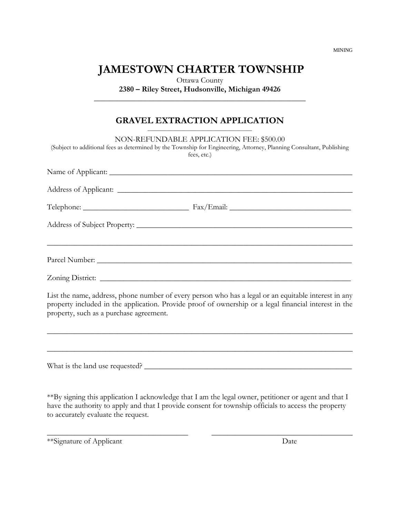**JAMESTOWN CHARTER TOWNSHIP**

Ottawa County **2380 – Riley Street, Hudsonville, Michigan 49426**

**\_\_\_\_\_\_\_\_\_\_\_\_\_\_\_\_\_\_\_\_\_\_\_\_\_\_\_\_\_\_\_\_\_\_\_\_\_\_\_\_\_\_\_\_\_\_\_\_\_\_\_\_\_\_**

## **GRAVEL EXTRACTION APPLICATION**

| NON-REFUNDABLE APPLICATION FEE: \$500.00<br>(Subject to additional fees as determined by the Township for Engineering, Attorney, Planning Consultant, Publishing<br>fees, etc.)                                                                          |
|----------------------------------------------------------------------------------------------------------------------------------------------------------------------------------------------------------------------------------------------------------|
|                                                                                                                                                                                                                                                          |
|                                                                                                                                                                                                                                                          |
|                                                                                                                                                                                                                                                          |
|                                                                                                                                                                                                                                                          |
|                                                                                                                                                                                                                                                          |
| Zoning District:                                                                                                                                                                                                                                         |
| List the name, address, phone number of every person who has a legal or an equitable interest in any<br>property included in the application. Provide proof of ownership or a legal financial interest in the<br>property, such as a purchase agreement. |
| ,我们也不能在这里的人,我们也不能在这里的人,我们也不能在这里的人,我们也不能在这里的人,我们也不能在这里的人,我们也不能在这里的人,我们也不能在这里的人,我们也                                                                                                                                                                        |
|                                                                                                                                                                                                                                                          |
|                                                                                                                                                                                                                                                          |

\*\*By signing this application I acknowledge that I am the legal owner, petitioner or agent and that I have the authority to apply and that I provide consent for township officials to access the property to accurately evaluate the request.

\_\_\_\_\_\_\_\_\_\_\_\_\_\_\_\_\_\_\_\_\_\_\_\_\_\_\_\_\_\_\_\_\_\_\_\_ \_\_\_\_\_\_\_\_\_\_\_\_\_\_\_\_\_\_\_\_\_\_\_\_\_\_\_\_\_\_\_\_\_\_\_\_

\*\*Signature of Applicant Date

MINING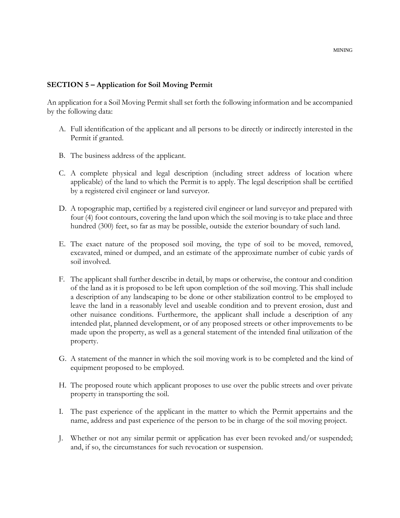#### MINING

#### **SECTION 5 – Application for Soil Moving Permit**

An application for a Soil Moving Permit shall set forth the following information and be accompanied by the following data:

- A. Full identification of the applicant and all persons to be directly or indirectly interested in the Permit if granted.
- B. The business address of the applicant.
- C. A complete physical and legal description (including street address of location where applicable) of the land to which the Permit is to apply. The legal description shall be certified by a registered civil engineer or land surveyor.
- D. A topographic map, certified by a registered civil engineer or land surveyor and prepared with four (4) foot contours, covering the land upon which the soil moving is to take place and three hundred (300) feet, so far as may be possible, outside the exterior boundary of such land.
- E. The exact nature of the proposed soil moving, the type of soil to be moved, removed, excavated, mined or dumped, and an estimate of the approximate number of cubic yards of soil involved.
- F. The applicant shall further describe in detail, by maps or otherwise, the contour and condition of the land as it is proposed to be left upon completion of the soil moving. This shall include a description of any landscaping to be done or other stabilization control to be employed to leave the land in a reasonably level and useable condition and to prevent erosion, dust and other nuisance conditions. Furthermore, the applicant shall include a description of any intended plat, planned development, or of any proposed streets or other improvements to be made upon the property, as well as a general statement of the intended final utilization of the property.
- G. A statement of the manner in which the soil moving work is to be completed and the kind of equipment proposed to be employed.
- H. The proposed route which applicant proposes to use over the public streets and over private property in transporting the soil.
- I. The past experience of the applicant in the matter to which the Permit appertains and the name, address and past experience of the person to be in charge of the soil moving project.
- J. Whether or not any similar permit or application has ever been revoked and/or suspended; and, if so, the circumstances for such revocation or suspension.